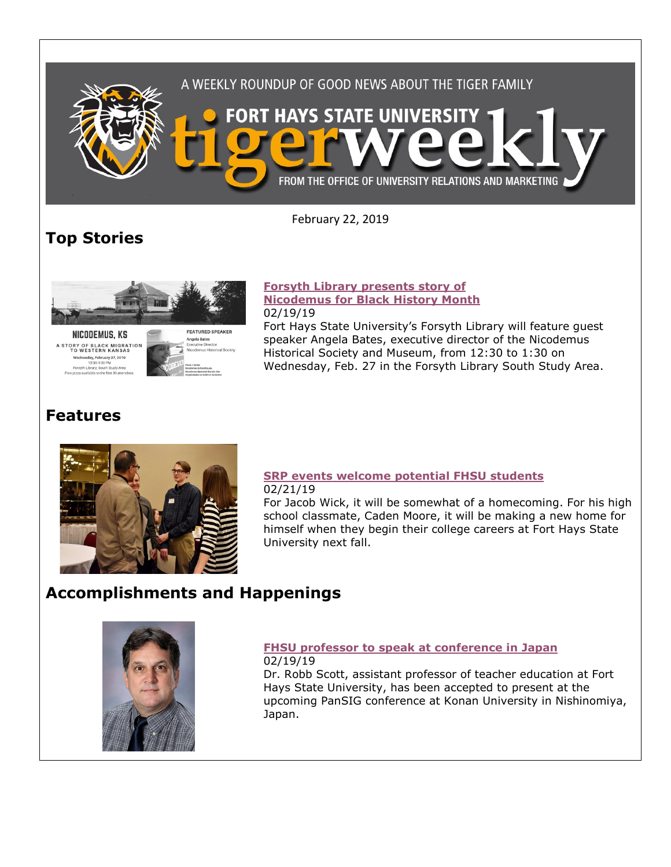

February 22, 2019

# **Top Stories**



NICODEMUS, KS A STORY OF BLACK MIGRATION<br>TO WESTERN KANSAS Wednesday, February 27, 2019<br>12:30-1:30 PM<br>Forsyth Library, South Study Area

**FFATURED SPEAKER** i**gela Bates**<br>ecutive Directo

#### **[Forsyth Library presents story of](https://www.fhsu.edu/news/2019/02/forsyth-library-presents-story-of-nicodemus-for-black-history-month)  [Nicodemus for Black History Month](https://www.fhsu.edu/news/2019/02/forsyth-library-presents-story-of-nicodemus-for-black-history-month)** 02/19/19

Fort Hays State University's Forsyth Library will feature guest speaker Angela Bates, executive director of the Nicodemus Historical Society and Museum, from 12:30 to 1:30 on Wednesday, Feb. 27 in the Forsyth Library South Study Area.

## **Features**



## **[SRP events welcome potential FHSU students](https://www.fhsu.edu/news/2019/02/srp-events-welcome-potential-fhsu-students)** 02/21/19

For Jacob Wick, it will be somewhat of a homecoming. For his high school classmate, Caden Moore, it will be making a new home for himself when they begin their college careers at Fort Hays State University next fall.

## **Accomplishments and Happenings**



#### **[FHSU professor to speak at conference in Japan](https://www.fhsu.edu/news/2019/02/fhsu-professor-to-speak-at-conference-in-japan)** 02/19/19

Dr. Robb Scott, assistant professor of teacher education at Fort Hays State University, has been accepted to present at the upcoming PanSIG conference at Konan University in Nishinomiya, Japan.